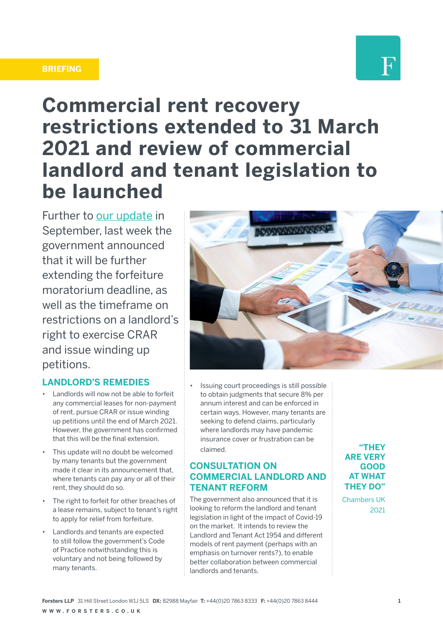#### **BRIEFING**



# **Commercial rent recovery restrictions extended to 31 March 2021 and review of commercial landlord and tenant legislation to be launched**

Further to [our update](https://www.forsters.co.uk/news/blog/restrictions-forfeiture-of-business-tenancies-and-crar-extended-31-december-2020) in September, last week the government announced that it will be further extending the forfeiture moratorium deadline, as well as the timeframe on restrictions on a landlord's right to exercise CRAR and issue winding up petitions.

### **LANDLORD'S REMEDIES**

- Landlords will now not be able to forfeit any commercial leases for non-payment of rent, pursue CRAR or issue winding up petitions until the end of March 2021. However, the government has confirmed that this will be the final extension.
- This update will no doubt be welcomed by many tenants but the government made it clear in its announcement that, where tenants can pay any or all of their rent, they should do so.
- The right to forfeit for other breaches of a lease remains, subject to tenant's right to apply for relief from forfeiture.
- Landlords and tenants are expected to still follow the government's Code of Practice notwithstanding this is voluntary and not being followed by many tenants.



• Issuing court proceedings is still possible to obtain judgments that secure 8% per annum interest and can be enforced in certain ways. However, many tenants are seeking to defend claims, particularly where landlords may have pandemic insurance cover or frustration can be claimed.

## **CONSULTATION ON COMMERCIAL LANDLORD AND TENANT REFORM**

The government also announced that it is looking to reform the landlord and tenant legislation in light of the impact of Covid-19 on the market. It intends to review the Landlord and Tenant Act 1954 and different models of rent payment (perhaps with an emphasis on turnover rents?), to enable better collaboration between commercial landlords and tenants.

**"THEY ARE VERY GOOD AT WHAT THEY DO"**

Chambers UK 2021